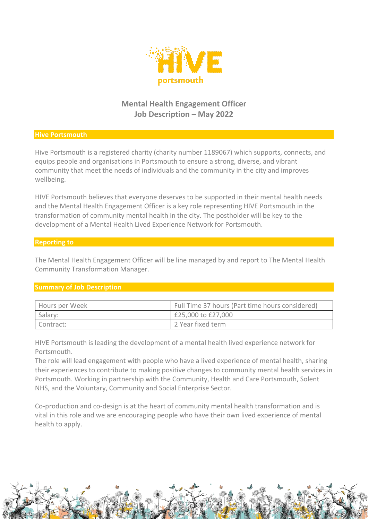

# **Mental Health Engagement Officer Job Description – May 2022**

### **Hive Portsmouth**

Hive Portsmouth is a registered charity (charity number 1189067) which supports, connects, and equips people and organisations in Portsmouth to ensure a strong, diverse, and vibrant community that meet the needs of individuals and the community in the city and improves wellbeing.

HIVE Portsmouth believes that everyone deserves to be supported in their mental health needs and the Mental Health Engagement Officer is a key role representing HIVE Portsmouth in the transformation of community mental health in the city. The postholder will be key to the development of a Mental Health Lived Experience Network for Portsmouth.

#### **Reporting to**

The Mental Health Engagement Officer will be line managed by and report to The Mental Health Community Transformation Manager.

# **Summary of Job Description**

| Hours per Week | Full Time 37 hours (Part time hours considered) |
|----------------|-------------------------------------------------|
| Salary:        | £25,000 to £27,000                              |
| Contract:      | 2 Year fixed term                               |

HIVE Portsmouth is leading the development of a mental health lived experience network for Portsmouth.

The role will lead engagement with people who have a lived experience of mental health, sharing their experiences to contribute to making positive changes to community mental health services in Portsmouth. Working in partnership with the Community, Health and Care Portsmouth, Solent NHS, and the Voluntary, Community and Social Enterprise Sector.

Co-production and co-design is at the heart of community mental health transformation and is vital in this role and we are encouraging people who have their own lived experience of mental health to apply.